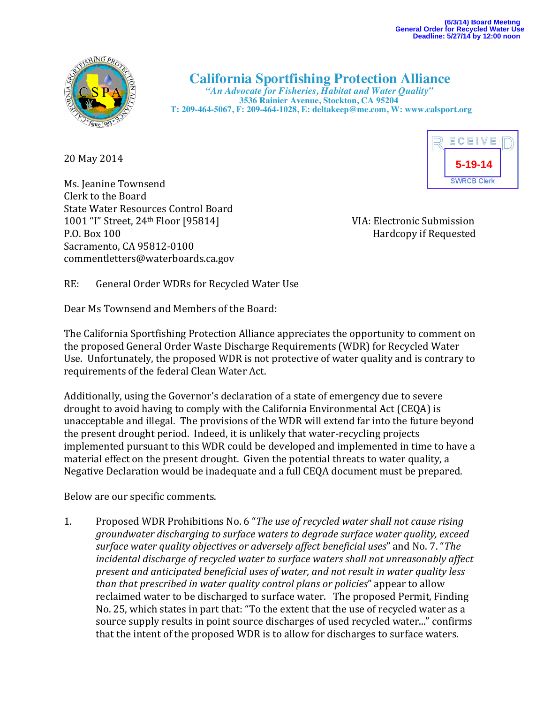

## **California Sportfishing Protection Alliance** *"An Advocate for Fisheries, Habitat and Water Quality"*

 **3536 Rainier Avenue, Stockton, CA 95204 T: 209-464-5067, F: 209-464-1028, E: deltakeep@me.com, W: www.calsport.org**

20 May 2014

Ms. Jeanine Townsend Clerk to the Board State Water Resources Control Board 1001 "I" Street, 24<sup>th</sup> Floor [95814] VIA: Electronic Submission P.O. Box 100 Hardcopy if Requested Sacramento, CA 95812-0100 commentletters@waterboards.ca.gov

ECEIVE **5-19-14SWRCB Clerk** 

RE: General Order WDRs for Recycled Water Use

Dear Ms Townsend and Members of the Board:

The California Sportfishing Protection Alliance appreciates the opportunity to comment on the proposed General Order Waste Discharge Requirements (WDR) for Recycled Water Use. Unfortunately, the proposed WDR is not protective of water quality and is contrary to requirements of the federal Clean Water Act.

Additionally, using the Governor's declaration of a state of emergency due to severe drought to avoid having to comply with the California Environmental Act (CEQA) is unacceptable and illegal. The provisions of the WDR will extend far into the future beyond the present drought period. Indeed, it is unlikely that water-recycling projects implemented pursuant to this WDR could be developed and implemented in time to have a material effect on the present drought. Given the potential threats to water quality, a Negative Declaration would be inadequate and a full CEOA document must be prepared.

Below are our specific comments.

1. Proposed WDR Prohibitions No. 6 "*The use of recycled water shall not cause rising groundwater discharging to surface waters to degrade surface water quality, exceed* surface water quality objectives or adversely affect beneficial uses" and No. 7. "The *incidental discharge of recycled water to surface waters shall not unreasonably affect* present and anticipated beneficial uses of water, and not result in water quality less *than* that prescribed in water quality control plans or policies" appear to allow reclaimed water to be discharged to surface water. The proposed Permit, Finding No. 25, which states in part that: "To the extent that the use of recycled water as a source supply results in point source discharges of used recycled water..." confirms that the intent of the proposed WDR is to allow for discharges to surface waters.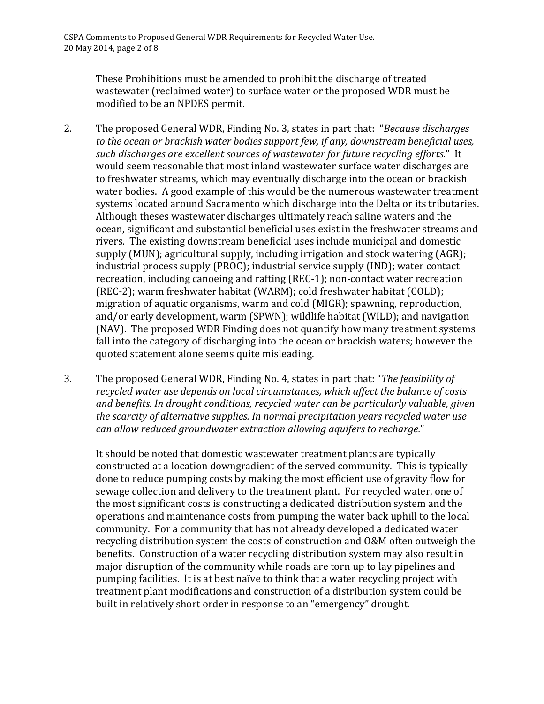These Prohibitions must be amended to prohibit the discharge of treated wastewater (reclaimed water) to surface water or the proposed WDR must be modified to be an NPDES permit.

- 2. The proposed General WDR, Finding No. 3, states in part that: *"Because discharges* to the ocean or brackish water bodies support few, if any, downstream beneficial uses, such discharges are excellent sources of wastewater for future recycling efforts." It would seem reasonable that most inland wastewater surface water discharges are to freshwater streams, which may eventually discharge into the ocean or brackish water bodies. A good example of this would be the numerous wastewater treatment systems located around Sacramento which discharge into the Delta or its tributaries. Although theses wastewater discharges ultimately reach saline waters and the ocean, significant and substantial beneficial uses exist in the freshwater streams and rivers. The existing downstream beneficial uses include municipal and domestic supply  $(MUN)$ ; agricultural supply, including irrigation and stock watering  $(AGR)$ ; industrial process supply (PROC); industrial service supply (IND); water contact recreation, including canoeing and rafting (REC-1); non-contact water recreation (REC-2); warm freshwater habitat (WARM); cold freshwater habitat (COLD); migration of aquatic organisms, warm and cold (MIGR); spawning, reproduction, and/or early development, warm (SPWN); wildlife habitat (WILD); and navigation (NAV). The proposed WDR Finding does not quantify how many treatment systems fall into the category of discharging into the ocean or brackish waters; however the quoted statement alone seems quite misleading.
- 3. The proposed General WDR, Finding No. 4, states in part that: "*The feasibility of* recycled water use depends on local circumstances, which affect the balance of costs and benefits. In drought conditions, recycled water can be particularly valuable, given *the scarcity of alternative supplies. In normal precipitation years recycled water use can allow reduced groundwater extraction allowing aquifers to recharge.*"

It should be noted that domestic wastewater treatment plants are typically constructed at a location downgradient of the served community. This is typically done to reduce pumping costs by making the most efficient use of gravity flow for sewage collection and delivery to the treatment plant. For recycled water, one of the most significant costs is constructing a dedicated distribution system and the operations and maintenance costs from pumping the water back uphill to the local community. For a community that has not already developed a dedicated water recycling distribution system the costs of construction and O&M often outweigh the benefits. Construction of a water recycling distribution system may also result in major disruption of the community while roads are torn up to lay pipelines and pumping facilities. It is at best naïve to think that a water recycling project with treatment plant modifications and construction of a distribution system could be built in relatively short order in response to an "emergency" drought.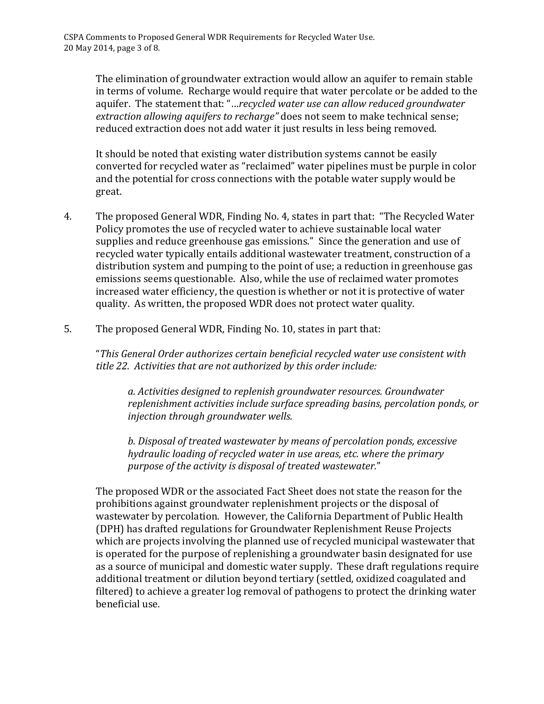The elimination of groundwater extraction would allow an aquifer to remain stable in terms of volume. Recharge would require that water percolate or be added to the aquifer. The statement that: "...*recycled water use can allow reduced groundwater extraction allowing aquifers to recharge*" does not seem to make technical sense; reduced extraction does not add water it just results in less being removed.

It should be noted that existing water distribution systems cannot be easily converted for recycled water as "reclaimed" water pipelines must be purple in color and the potential for cross connections with the potable water supply would be great. 

- 4. The proposed General WDR, Finding No. 4, states in part that: "The Recycled Water" Policy promotes the use of recycled water to achieve sustainable local water supplies and reduce greenhouse gas emissions." Since the generation and use of recycled water typically entails additional wastewater treatment, construction of a distribution system and pumping to the point of use; a reduction in greenhouse gas emissions seems questionable. Also, while the use of reclaimed water promotes increased water efficiency, the question is whether or not it is protective of water quality. As written, the proposed WDR does not protect water quality.
- 5. The proposed General WDR, Finding No. 10, states in part that:

"*This General Order authorizes certain beneficial recycled water use consistent with*  title 22. Activities that are not authorized by this order include:

*a. Activities designed to replenish groundwater resources. Groundwater*  replenishment activities include surface spreading basins, percolation ponds, or *injection through groundwater wells.*

*b. Disposal of treated wastewater by means of percolation ponds, excessive hydraulic loading of recycled water in use areas, etc. where the primary* purpose of the activity is disposal of treated wastewater."

The proposed WDR or the associated Fact Sheet does not state the reason for the prohibitions against groundwater replenishment projects or the disposal of wastewater by percolation. However, the California Department of Public Health (DPH) has drafted regulations for Groundwater Replenishment Reuse Projects which are projects involving the planned use of recycled municipal wastewater that is operated for the purpose of replenishing a groundwater basin designated for use as a source of municipal and domestic water supply. These draft regulations require additional treatment or dilution beyond tertiary (settled, oxidized coagulated and filtered) to achieve a greater log removal of pathogens to protect the drinking water beneficial use.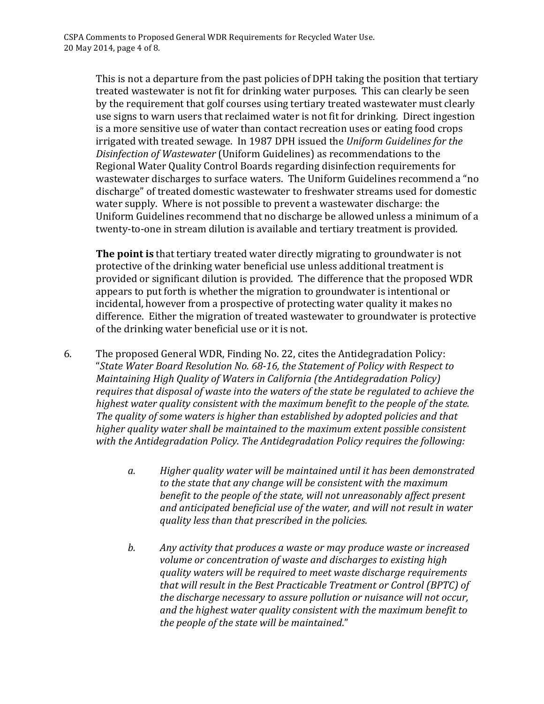This is not a departure from the past policies of DPH taking the position that tertiary treated wastewater is not fit for drinking water purposes. This can clearly be seen by the requirement that golf courses using tertiary treated wastewater must clearly use signs to warn users that reclaimed water is not fit for drinking. Direct ingestion is a more sensitive use of water than contact recreation uses or eating food crops irrigated with treated sewage. In 1987 DPH issued the *Uniform Guidelines for the Disinfection of Wastewater* (Uniform Guidelines) as recommendations to the Regional Water Quality Control Boards regarding disinfection requirements for wastewater discharges to surface waters. The Uniform Guidelines recommend a "no discharge" of treated domestic wastewater to freshwater streams used for domestic water supply. Where is not possible to prevent a wastewater discharge: the Uniform Guidelines recommend that no discharge be allowed unless a minimum of a twenty-to-one in stream dilution is available and tertiary treatment is provided.

**The point is** that tertiary treated water directly migrating to groundwater is not protective of the drinking water beneficial use unless additional treatment is provided or significant dilution is provided. The difference that the proposed WDR appears to put forth is whether the migration to groundwater is intentional or incidental, however from a prospective of protecting water quality it makes no difference. Either the migration of treated wastewater to groundwater is protective of the drinking water beneficial use or it is not.

- 6. The proposed General WDR, Finding No. 22, cites the Antidegradation Policy: "State Water Board Resolution No. 68-16, the Statement of Policy with Respect to *Maintaining High Quality of Waters in California (the Antidegradation Policy)* requires that disposal of waste into the waters of the state be regulated to achieve the *highest water quality consistent with the maximum benefit to the people of the state. The quality of some waters is higher than established by adopted policies and that* higher quality water shall be maintained to the maximum extent possible consistent with the Antidegradation Policy. The Antidegradation Policy requires the following:
	- a. Higher quality water will be maintained until it has been demonstrated to the state that any change will be consistent with the maximum *benefit to the people of the state, will not unreasonably affect present* and anticipated beneficial use of the water, and will not result in water *quality less than that prescribed in the policies.*
	- *b.* Any activity that produces a waste or may produce waste or increased *volume or concentration of waste and discharges to existing high quality* waters will be required to meet waste discharge requirements *that will result in the Best Practicable Treatment or Control (BPTC) of the discharge necessary to assure pollution or nuisance will not occur,* and the highest water quality consistent with the maximum benefit to the people of the state will be maintained."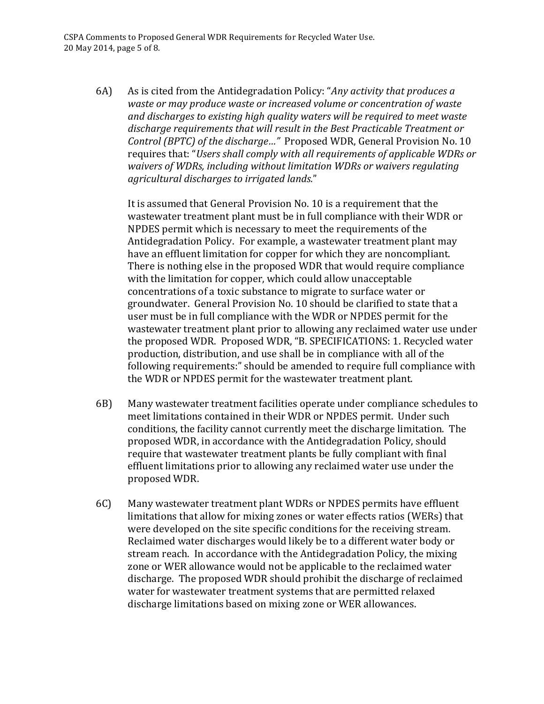6A) As is cited from the Antidegradation Policy: "*Any activity that produces a waste or may produce waste or increased volume or concentration of waste* and discharges to existing high quality waters will be required to meet waste discharge requirements that will result in the Best Practicable Treatment or *Control (BPTC) of the discharge..."* Proposed WDR, General Provision No. 10 requires that: "Users shall comply with all requirements of applicable WDRs or waivers of WDRs, including without limitation WDRs or waivers regulating *agricultural discharges to irrigated lands.*" 

It is assumed that General Provision No. 10 is a requirement that the wastewater treatment plant must be in full compliance with their WDR or NPDES permit which is necessary to meet the requirements of the Antidegradation Policy. For example, a wastewater treatment plant may have an effluent limitation for copper for which they are noncompliant. There is nothing else in the proposed WDR that would require compliance with the limitation for copper, which could allow unacceptable concentrations of a toxic substance to migrate to surface water or groundwater. General Provision No. 10 should be clarified to state that a user must be in full compliance with the WDR or NPDES permit for the wastewater treatment plant prior to allowing any reclaimed water use under the proposed WDR. Proposed WDR, "B. SPECIFICATIONS: 1. Recycled water production, distribution, and use shall be in compliance with all of the following requirements:" should be amended to require full compliance with the WDR or NPDES permit for the wastewater treatment plant.

- 6B) Many wastewater treatment facilities operate under compliance schedules to meet limitations contained in their WDR or NPDES permit. Under such conditions, the facility cannot currently meet the discharge limitation. The proposed WDR, in accordance with the Antidegradation Policy, should require that wastewater treatment plants be fully compliant with final effluent limitations prior to allowing any reclaimed water use under the proposed WDR.
- 6C) Many wastewater treatment plant WDRs or NPDES permits have effluent limitations that allow for mixing zones or water effects ratios (WERs) that were developed on the site specific conditions for the receiving stream. Reclaimed water discharges would likely be to a different water body or stream reach. In accordance with the Antidegradation Policy, the mixing zone or WER allowance would not be applicable to the reclaimed water discharge. The proposed WDR should prohibit the discharge of reclaimed water for wastewater treatment systems that are permitted relaxed discharge limitations based on mixing zone or WER allowances.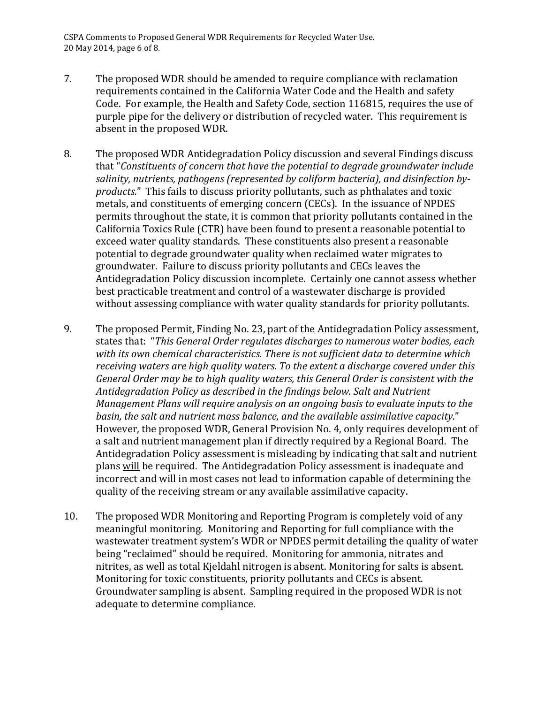CSPA Comments to Proposed General WDR Requirements for Recycled Water Use. 20 May 2014, page 6 of 8.

- 7. The proposed WDR should be amended to require compliance with reclamation requirements contained in the California Water Code and the Health and safety Code. For example, the Health and Safety Code, section 116815, requires the use of purple pipe for the delivery or distribution of recycled water. This requirement is absent in the proposed WDR.
- 8. The proposed WDR Antidegradation Policy discussion and several Findings discuss that "Constituents of concern that have the potential to degrade groundwater include salinity, nutrients, pathogens (represented by coliform bacteria), and disinfection by*products.*" This fails to discuss priority pollutants, such as phthalates and toxic metals, and constituents of emerging concern (CECs). In the issuance of NPDES permits throughout the state, it is common that priority pollutants contained in the California Toxics Rule (CTR) have been found to present a reasonable potential to exceed water quality standards. These constituents also present a reasonable potential to degrade groundwater quality when reclaimed water migrates to groundwater. Failure to discuss priority pollutants and CECs leaves the Antidegradation Policy discussion incomplete. Certainly one cannot assess whether best practicable treatment and control of a wastewater discharge is provided without assessing compliance with water quality standards for priority pollutants.
- 9. The proposed Permit, Finding No. 23, part of the Antidegradation Policy assessment, states that: "This General Order regulates discharges to numerous water bodies, each with its own chemical characteristics. There is not sufficient data to determine which receiving waters are high quality waters. To the extent a discharge covered under this General Order may be to high quality waters, this General Order is consistent with the Antidegradation Policy as described in the findings below. Salt and Nutrient *Management Plans will require analysis on an ongoing basis to evaluate inputs to the* basin, the salt and nutrient mass balance, and the available assimilative capacity." However, the proposed WDR, General Provision No. 4, only requires development of a salt and nutrient management plan if directly required by a Regional Board. The Antidegradation Policy assessment is misleading by indicating that salt and nutrient plans will be required. The Antidegradation Policy assessment is inadequate and incorrect and will in most cases not lead to information capable of determining the quality of the receiving stream or any available assimilative capacity.
- 10. The proposed WDR Monitoring and Reporting Program is completely void of any meaningful monitoring. Monitoring and Reporting for full compliance with the wastewater treatment system's WDR or NPDES permit detailing the quality of water being "reclaimed" should be required. Monitoring for ammonia, nitrates and nitrites, as well as total Kjeldahl nitrogen is absent. Monitoring for salts is absent. Monitoring for toxic constituents, priority pollutants and CECs is absent. Groundwater sampling is absent. Sampling required in the proposed WDR is not adequate to determine compliance.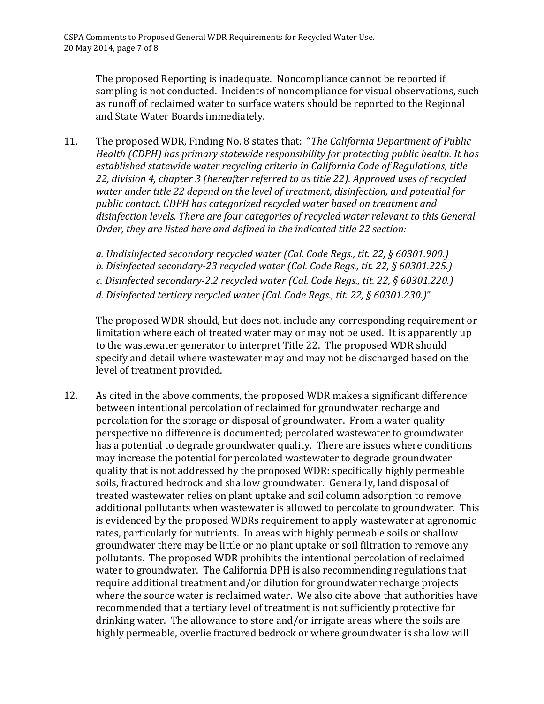The proposed Reporting is inadequate. Noncompliance cannot be reported if sampling is not conducted. Incidents of noncompliance for visual observations, such as runoff of reclaimed water to surface waters should be reported to the Regional and State Water Boards immediately.

11. The proposed WDR, Finding No. 8 states that: "*The California Department of Public Health* (CDPH) has primary statewide responsibility for protecting public health. It has established statewide water recycling criteria in California Code of Regulations, title 22, division 4, chapter 3 (hereafter referred to as title 22). Approved uses of recycled water under title 22 depend on the level of treatment, disinfection, and potential for public contact. CDPH has categorized recycled water based on treatment and disinfection levels. There are four categories of recycled water relevant to this General *Order, they are listed here and defined in the indicated title 22 section:* 

a. Undisinfected secondary recycled water (Cal. Code Regs., tit. 22, § 60301.900.) b. Disinfected secondary-23 recycled water (Cal. Code Regs., tit. 22, § 60301.225.) *c. Disinfected secondary-2.2 recycled water (Cal. Code Regs., tit. 22, § 60301.220.) d. Disinfected tertiary recycled water (Cal. Code Regs., tit. 22, § 60301.230.)*" 

The proposed WDR should, but does not, include any corresponding requirement or limitation where each of treated water may or may not be used. It is apparently up to the wastewater generator to interpret Title 22. The proposed WDR should specify and detail where wastewater may and may not be discharged based on the level of treatment provided.

12. As cited in the above comments, the proposed WDR makes a significant difference between intentional percolation of reclaimed for groundwater recharge and percolation for the storage or disposal of groundwater. From a water quality perspective no difference is documented; percolated wastewater to groundwater has a potential to degrade groundwater quality. There are issues where conditions may increase the potential for percolated wastewater to degrade groundwater quality that is not addressed by the proposed WDR: specifically highly permeable soils, fractured bedrock and shallow groundwater. Generally, land disposal of treated wastewater relies on plant uptake and soil column adsorption to remove additional pollutants when wastewater is allowed to percolate to groundwater. This is evidenced by the proposed WDRs requirement to apply wastewater at agronomic rates, particularly for nutrients. In areas with highly permeable soils or shallow groundwater there may be little or no plant uptake or soil filtration to remove any pollutants. The proposed WDR prohibits the intentional percolation of reclaimed water to groundwater. The California DPH is also recommending regulations that require additional treatment and/or dilution for groundwater recharge projects where the source water is reclaimed water. We also cite above that authorities have recommended that a tertiary level of treatment is not sufficiently protective for drinking water. The allowance to store and/or irrigate areas where the soils are highly permeable, overlie fractured bedrock or where groundwater is shallow will